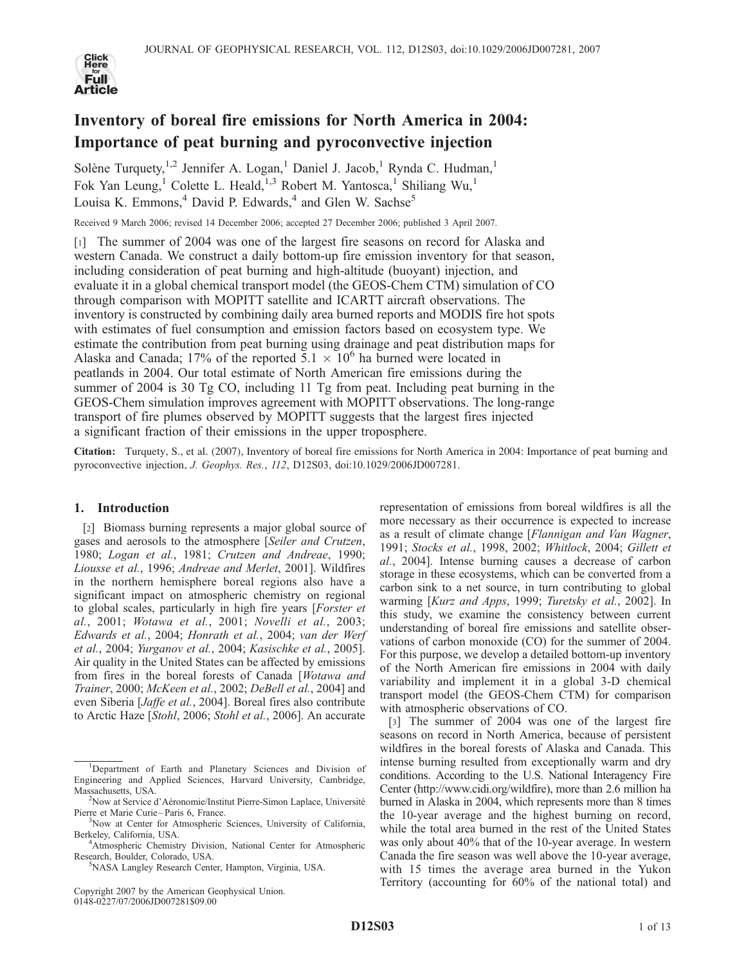

# Inventory of boreal fire emissions for North America in 2004: Importance of peat burning and pyroconvective injection

Solène Turquety,<sup>1,2</sup> Jennifer A. Logan,<sup>1</sup> Daniel J. Jacob,<sup>1</sup> Rynda C. Hudman,<sup>1</sup> Fok Yan Leung,<sup>1</sup> Colette L. Heald,<sup>1,3</sup> Robert M. Yantosca,<sup>1</sup> Shiliang Wu,<sup>1</sup> Louisa K. Emmons, $4$  David P. Edwards, $4$  and Glen W. Sachse<sup>5</sup>

Received 9 March 2006; revised 14 December 2006; accepted 27 December 2006; published 3 April 2007.

[1] The summer of 2004 was one of the largest fire seasons on record for Alaska and western Canada. We construct a daily bottom-up fire emission inventory for that season, including consideration of peat burning and high-altitude (buoyant) injection, and evaluate it in a global chemical transport model (the GEOS-Chem CTM) simulation of CO through comparison with MOPITT satellite and ICARTT aircraft observations. The inventory is constructed by combining daily area burned reports and MODIS fire hot spots with estimates of fuel consumption and emission factors based on ecosystem type. We estimate the contribution from peat burning using drainage and peat distribution maps for Alaska and Canada; 17% of the reported  $5.1 \times 10^6$  ha burned were located in peatlands in 2004. Our total estimate of North American fire emissions during the summer of 2004 is 30 Tg CO, including 11 Tg from peat. Including peat burning in the GEOS-Chem simulation improves agreement with MOPITT observations. The long-range transport of fire plumes observed by MOPITT suggests that the largest fires injected a significant fraction of their emissions in the upper troposphere.

Citation: Turquety, S., et al. (2007), Inventory of boreal fire emissions for North America in 2004: Importance of peat burning and pyroconvective injection, J. Geophys. Res., 112, D12S03, doi:10.1029/2006JD007281.

# 1. Introduction

[2] Biomass burning represents a major global source of gases and aerosols to the atmosphere [Seiler and Crutzen, 1980; Logan et al., 1981; Crutzen and Andreae, 1990; Liousse et al., 1996; Andreae and Merlet, 2001]. Wildfires in the northern hemisphere boreal regions also have a significant impact on atmospheric chemistry on regional to global scales, particularly in high fire years [Forster et al., 2001; Wotawa et al., 2001; Novelli et al., 2003; Edwards et al., 2004; Honrath et al., 2004; van der Werf et al., 2004; Yurganov et al., 2004; Kasischke et al., 2005]. Air quality in the United States can be affected by emissions from fires in the boreal forests of Canada [Wotawa and Trainer, 2000; McKeen et al., 2002; DeBell et al., 2004] and even Siberia [Jaffe et al., 2004]. Boreal fires also contribute to Arctic Haze [Stohl, 2006; Stohl et al., 2006]. An accurate

Copyright 2007 by the American Geophysical Union. 0148-0227/07/2006JD007281\$09.00

representation of emissions from boreal wildfires is all the more necessary as their occurrence is expected to increase as a result of climate change [Flannigan and Van Wagner, 1991; Stocks et al., 1998, 2002; Whitlock, 2004; Gillett et al., 2004]. Intense burning causes a decrease of carbon storage in these ecosystems, which can be converted from a carbon sink to a net source, in turn contributing to global warming [Kurz and Apps, 1999; Turetsky et al., 2002]. In this study, we examine the consistency between current understanding of boreal fire emissions and satellite observations of carbon monoxide (CO) for the summer of 2004. For this purpose, we develop a detailed bottom-up inventory of the North American fire emissions in 2004 with daily variability and implement it in a global 3-D chemical transport model (the GEOS-Chem CTM) for comparison with atmospheric observations of CO.

[3] The summer of 2004 was one of the largest fire seasons on record in North America, because of persistent wildfires in the boreal forests of Alaska and Canada. This intense burning resulted from exceptionally warm and dry conditions. According to the U.S. National Interagency Fire Center (http://www.cidi.org/wildfire), more than 2.6 million ha burned in Alaska in 2004, which represents more than 8 times the 10-year average and the highest burning on record, while the total area burned in the rest of the United States was only about 40% that of the 10-year average. In western Canada the fire season was well above the 10-year average, with 15 times the average area burned in the Yukon Territory (accounting for 60% of the national total) and

<sup>&</sup>lt;sup>1</sup>Department of Earth and Planetary Sciences and Division of Engineering and Applied Sciences, Harvard University, Cambridge, Massachusetts, USA. <sup>2</sup>

<sup>&</sup>lt;sup>2</sup>Now at Service d'Aéronomie/Institut Pierre-Simon Laplace, Université Pierre et Marie Curie-Paris 6, France.

<sup>&</sup>lt;sup>3</sup>Now at Center for Atmospheric Sciences, University of California, Berkeley, California, USA. <sup>4</sup>

<sup>&</sup>lt;sup>4</sup>Atmospheric Chemistry Division, National Center for Atmospheric Research, Boulder, Colorado, USA.

NASA Langley Research Center, Hampton, Virginia, USA.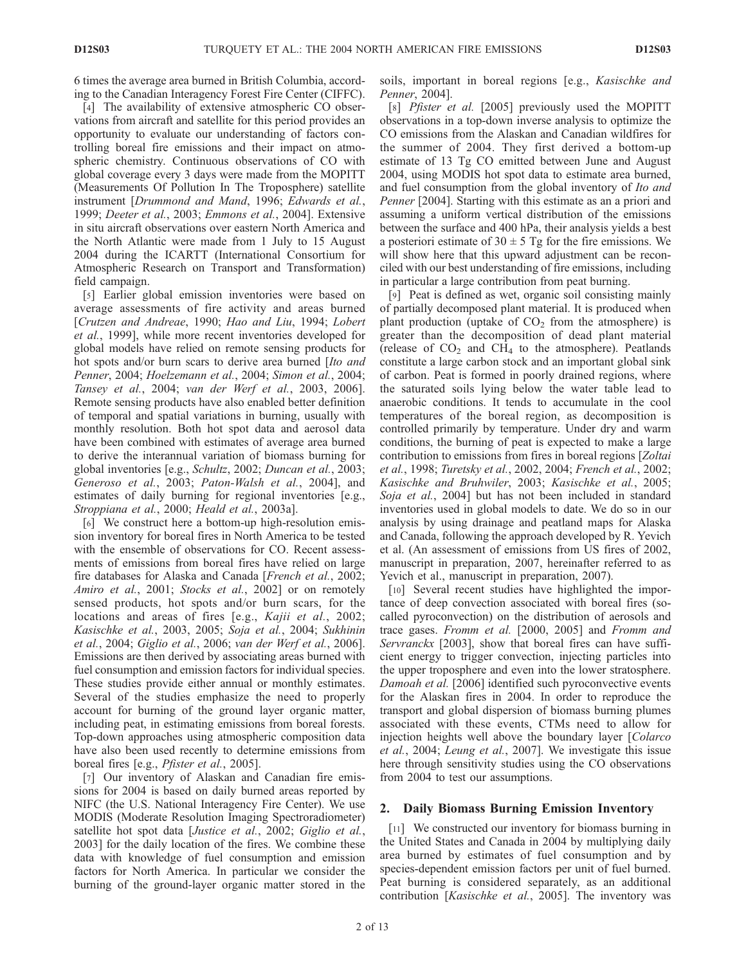6 times the average area burned in British Columbia, according to the Canadian Interagency Forest Fire Center (CIFFC).

[4] The availability of extensive atmospheric CO observations from aircraft and satellite for this period provides an opportunity to evaluate our understanding of factors controlling boreal fire emissions and their impact on atmospheric chemistry. Continuous observations of CO with global coverage every 3 days were made from the MOPITT (Measurements Of Pollution In The Troposphere) satellite instrument [Drummond and Mand, 1996; Edwards et al., 1999; Deeter et al., 2003; Emmons et al., 2004]. Extensive in situ aircraft observations over eastern North America and the North Atlantic were made from 1 July to 15 August 2004 during the ICARTT (International Consortium for Atmospheric Research on Transport and Transformation) field campaign.

[5] Earlier global emission inventories were based on average assessments of fire activity and areas burned [Crutzen and Andreae, 1990; Hao and Liu, 1994; Lobert et al., 1999], while more recent inventories developed for global models have relied on remote sensing products for hot spots and/or burn scars to derive area burned [Ito and Penner, 2004; Hoelzemann et al., 2004; Simon et al., 2004; Tansey et al., 2004; van der Werf et al., 2003, 2006]. Remote sensing products have also enabled better definition of temporal and spatial variations in burning, usually with monthly resolution. Both hot spot data and aerosol data have been combined with estimates of average area burned to derive the interannual variation of biomass burning for global inventories [e.g., Schultz, 2002; Duncan et al., 2003; Generoso et al., 2003; Paton-Walsh et al., 2004], and estimates of daily burning for regional inventories [e.g., Stroppiana et al., 2000; Heald et al., 2003a].

[6] We construct here a bottom-up high-resolution emission inventory for boreal fires in North America to be tested with the ensemble of observations for CO. Recent assessments of emissions from boreal fires have relied on large fire databases for Alaska and Canada [French et al., 2002; Amiro et al., 2001; Stocks et al., 2002] or on remotely sensed products, hot spots and/or burn scars, for the locations and areas of fires [e.g., Kajii et al., 2002; Kasischke et al., 2003, 2005; Soja et al., 2004; Sukhinin et al., 2004; Giglio et al., 2006; van der Werf et al., 2006]. Emissions are then derived by associating areas burned with fuel consumption and emission factors for individual species. These studies provide either annual or monthly estimates. Several of the studies emphasize the need to properly account for burning of the ground layer organic matter, including peat, in estimating emissions from boreal forests. Top-down approaches using atmospheric composition data have also been used recently to determine emissions from boreal fires [e.g., *Pfister et al.*, 2005].

[7] Our inventory of Alaskan and Canadian fire emissions for 2004 is based on daily burned areas reported by NIFC (the U.S. National Interagency Fire Center). We use MODIS (Moderate Resolution Imaging Spectroradiometer) satellite hot spot data [Justice et al., 2002; Giglio et al., 2003] for the daily location of the fires. We combine these data with knowledge of fuel consumption and emission factors for North America. In particular we consider the burning of the ground-layer organic matter stored in the soils, important in boreal regions [e.g., Kasischke and Penner, 2004].

[8] Pfister et al. [2005] previously used the MOPITT observations in a top-down inverse analysis to optimize the CO emissions from the Alaskan and Canadian wildfires for the summer of 2004. They first derived a bottom-up estimate of 13 Tg CO emitted between June and August 2004, using MODIS hot spot data to estimate area burned, and fuel consumption from the global inventory of Ito and Penner [2004]. Starting with this estimate as an a priori and assuming a uniform vertical distribution of the emissions between the surface and 400 hPa, their analysis yields a best a posteriori estimate of  $30 \pm 5$  Tg for the fire emissions. We will show here that this upward adjustment can be reconciled with our best understanding of fire emissions, including in particular a large contribution from peat burning.

[9] Peat is defined as wet, organic soil consisting mainly of partially decomposed plant material. It is produced when plant production (uptake of  $CO<sub>2</sub>$  from the atmosphere) is greater than the decomposition of dead plant material (release of  $CO<sub>2</sub>$  and  $CH<sub>4</sub>$  to the atmosphere). Peatlands constitute a large carbon stock and an important global sink of carbon. Peat is formed in poorly drained regions, where the saturated soils lying below the water table lead to anaerobic conditions. It tends to accumulate in the cool temperatures of the boreal region, as decomposition is controlled primarily by temperature. Under dry and warm conditions, the burning of peat is expected to make a large contribution to emissions from fires in boreal regions [Zoltai et al., 1998; Turetsky et al., 2002, 2004; French et al., 2002; Kasischke and Bruhwiler, 2003; Kasischke et al., 2005; Soja et al., 2004] but has not been included in standard inventories used in global models to date. We do so in our analysis by using drainage and peatland maps for Alaska and Canada, following the approach developed by R. Yevich et al. (An assessment of emissions from US fires of 2002, manuscript in preparation, 2007, hereinafter referred to as Yevich et al., manuscript in preparation, 2007).

[10] Several recent studies have highlighted the importance of deep convection associated with boreal fires (socalled pyroconvection) on the distribution of aerosols and trace gases. Fromm et al. [2000, 2005] and Fromm and Servranckx [2003], show that boreal fires can have sufficient energy to trigger convection, injecting particles into the upper troposphere and even into the lower stratosphere. Damoah et al. [2006] identified such pyroconvective events for the Alaskan fires in 2004. In order to reproduce the transport and global dispersion of biomass burning plumes associated with these events, CTMs need to allow for injection heights well above the boundary layer [Colarco et al., 2004; Leung et al., 2007]. We investigate this issue here through sensitivity studies using the CO observations from 2004 to test our assumptions.

# 2. Daily Biomass Burning Emission Inventory

[11] We constructed our inventory for biomass burning in the United States and Canada in 2004 by multiplying daily area burned by estimates of fuel consumption and by species-dependent emission factors per unit of fuel burned. Peat burning is considered separately, as an additional contribution [Kasischke et al., 2005]. The inventory was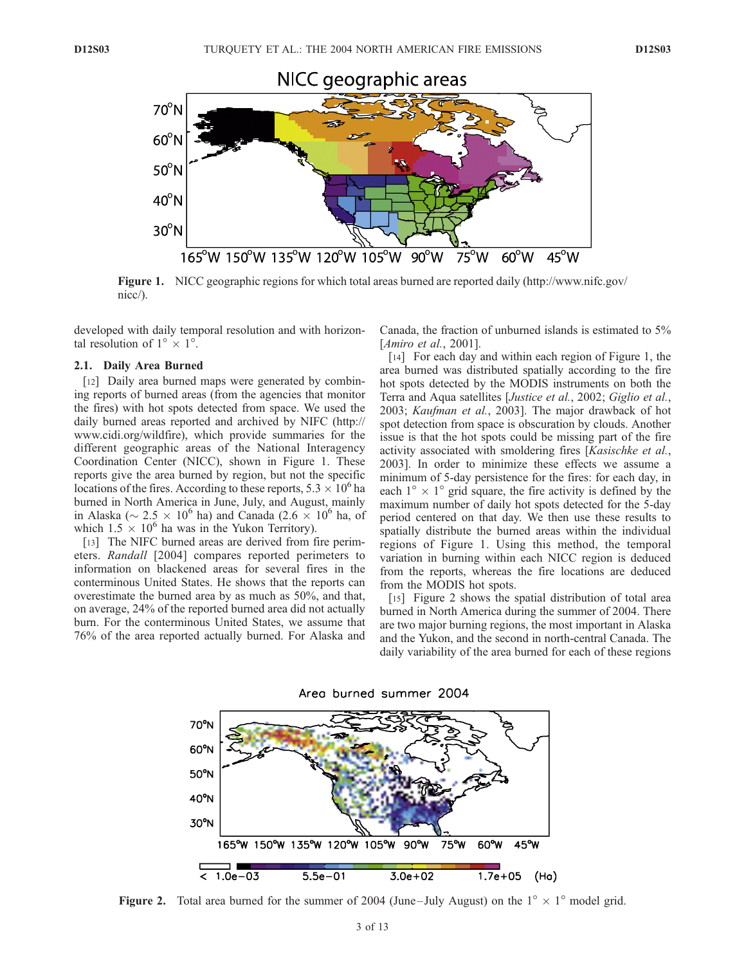

Figure 1. NICC geographic regions for which total areas burned are reported daily (http://www.nifc.gov/ nicc/).

developed with daily temporal resolution and with horizontal resolution of  $1^{\circ} \times 1^{\circ}$ .

#### 2.1. Daily Area Burned

[12] Daily area burned maps were generated by combining reports of burned areas (from the agencies that monitor the fires) with hot spots detected from space. We used the daily burned areas reported and archived by NIFC (http:// www.cidi.org/wildfire), which provide summaries for the different geographic areas of the National Interagency Coordination Center (NICC), shown in Figure 1. These reports give the area burned by region, but not the specific locations of the fires. According to these reports,  $5.3 \times 10^6$  ha burned in North America in June, July, and August, mainly in Alaska ( $\sim 2.5 \times 10^6$  ha) and Canada (2.6  $\times$  10<sup>6</sup> ha, of which  $1.5 \times 10^6$  ha was in the Yukon Territory).

[13] The NIFC burned areas are derived from fire perimeters. Randall [2004] compares reported perimeters to information on blackened areas for several fires in the conterminous United States. He shows that the reports can overestimate the burned area by as much as 50%, and that, on average, 24% of the reported burned area did not actually burn. For the conterminous United States, we assume that 76% of the area reported actually burned. For Alaska and Canada, the fraction of unburned islands is estimated to 5% [*Amiro et al.*, 2001].

[14] For each day and within each region of Figure 1, the area burned was distributed spatially according to the fire hot spots detected by the MODIS instruments on both the Terra and Aqua satellites [Justice et al., 2002; Giglio et al., 2003; Kaufman et al., 2003]. The major drawback of hot spot detection from space is obscuration by clouds. Another issue is that the hot spots could be missing part of the fire activity associated with smoldering fires [Kasischke et al., 2003]. In order to minimize these effects we assume a minimum of 5-day persistence for the fires: for each day, in each  $1^{\circ} \times 1^{\circ}$  grid square, the fire activity is defined by the maximum number of daily hot spots detected for the 5-day period centered on that day. We then use these results to spatially distribute the burned areas within the individual regions of Figure 1. Using this method, the temporal variation in burning within each NICC region is deduced from the reports, whereas the fire locations are deduced from the MODIS hot spots.

[15] Figure 2 shows the spatial distribution of total area burned in North America during the summer of 2004. There are two major burning regions, the most important in Alaska and the Yukon, and the second in north-central Canada. The daily variability of the area burned for each of these regions



Area burned summer 2004

**Figure 2.** Total area burned for the summer of 2004 (June–July August) on the  $1^{\circ} \times 1^{\circ}$  model grid.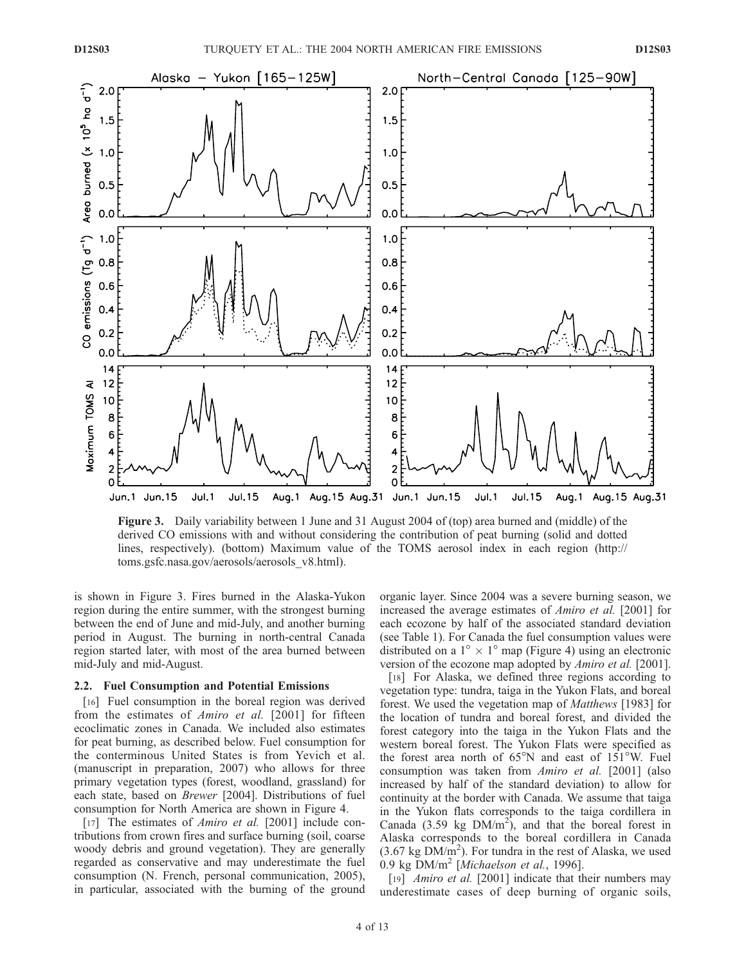

Figure 3. Daily variability between 1 June and 31 August 2004 of (top) area burned and (middle) of the derived CO emissions with and without considering the contribution of peat burning (solid and dotted lines, respectively). (bottom) Maximum value of the TOMS aerosol index in each region (http:// toms.gsfc.nasa.gov/aerosols/aerosols\_v8.html).

is shown in Figure 3. Fires burned in the Alaska-Yukon region during the entire summer, with the strongest burning between the end of June and mid-July, and another burning period in August. The burning in north-central Canada region started later, with most of the area burned between mid-July and mid-August.

## 2.2. Fuel Consumption and Potential Emissions

[16] Fuel consumption in the boreal region was derived from the estimates of Amiro et al. [2001] for fifteen ecoclimatic zones in Canada. We included also estimates for peat burning, as described below. Fuel consumption for the conterminous United States is from Yevich et al. (manuscript in preparation, 2007) who allows for three primary vegetation types (forest, woodland, grassland) for each state, based on Brewer [2004]. Distributions of fuel consumption for North America are shown in Figure 4.

[17] The estimates of *Amiro et al.* [2001] include contributions from crown fires and surface burning (soil, coarse woody debris and ground vegetation). They are generally regarded as conservative and may underestimate the fuel consumption (N. French, personal communication, 2005), in particular, associated with the burning of the ground

organic layer. Since 2004 was a severe burning season, we increased the average estimates of Amiro et al. [2001] for each ecozone by half of the associated standard deviation (see Table 1). For Canada the fuel consumption values were distributed on a  $1^{\circ} \times 1^{\circ}$  map (Figure 4) using an electronic version of the ecozone map adopted by Amiro et al. [2001].

[18] For Alaska, we defined three regions according to vegetation type: tundra, taiga in the Yukon Flats, and boreal forest. We used the vegetation map of Matthews [1983] for the location of tundra and boreal forest, and divided the forest category into the taiga in the Yukon Flats and the western boreal forest. The Yukon Flats were specified as the forest area north of  $65^{\circ}$ N and east of  $151^{\circ}$ W. Fuel consumption was taken from Amiro et al. [2001] (also increased by half of the standard deviation) to allow for continuity at the border with Canada. We assume that taiga in the Yukon flats corresponds to the taiga cordillera in Canada (3.59 kg  $DM/m<sup>2</sup>$ ), and that the boreal forest in Alaska corresponds to the boreal cordillera in Canada  $(3.67 \text{ kg } DM/m^2)$ . For tundra in the rest of Alaska, we used 0.9 kg  $DM/m^2$  [Michaelson et al., 1996].

[19] *Amiro et al.* [2001] indicate that their numbers may underestimate cases of deep burning of organic soils,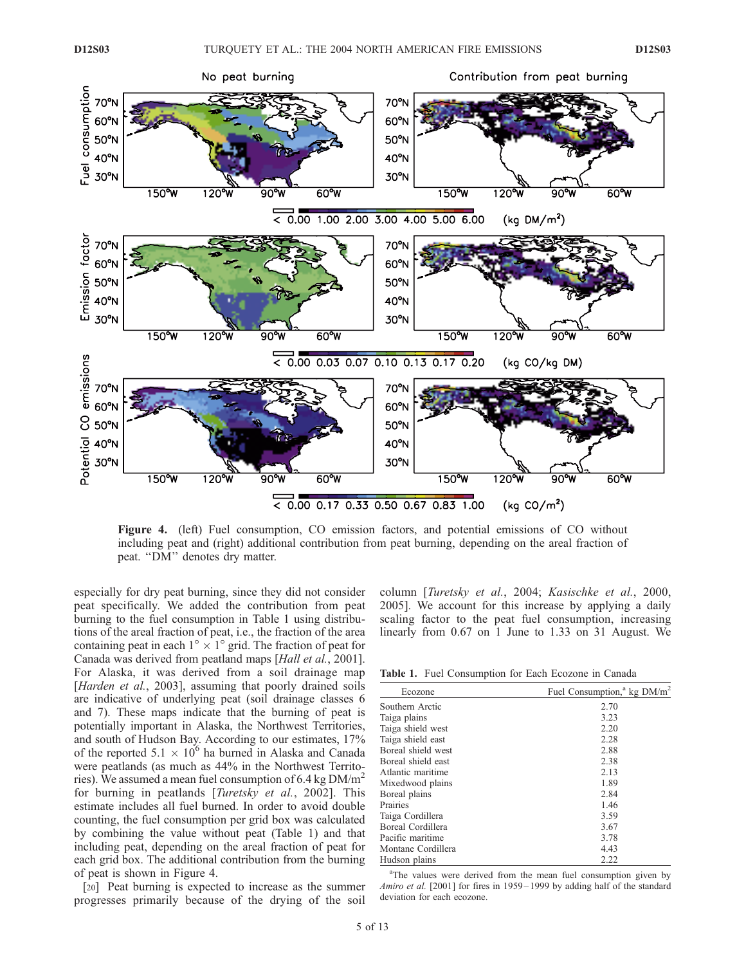

Figure 4. (left) Fuel consumption, CO emission factors, and potential emissions of CO without including peat and (right) additional contribution from peat burning, depending on the areal fraction of peat. ''DM'' denotes dry matter.

especially for dry peat burning, since they did not consider peat specifically. We added the contribution from peat burning to the fuel consumption in Table 1 using distributions of the areal fraction of peat, i.e., the fraction of the area containing peat in each  $1^{\circ} \times 1^{\circ}$  grid. The fraction of peat for Canada was derived from peatland maps [Hall et al., 2001]. For Alaska, it was derived from a soil drainage map [Harden et al., 2003], assuming that poorly drained soils are indicative of underlying peat (soil drainage classes 6 and 7). These maps indicate that the burning of peat is potentially important in Alaska, the Northwest Territories, and south of Hudson Bay. According to our estimates, 17% of the reported  $5.1 \times 10^6$  ha burned in Alaska and Canada were peatlands (as much as 44% in the Northwest Territories). We assumed a mean fuel consumption of 6.4 kg  $DM/m<sup>2</sup>$ for burning in peatlands [*Turetsky et al.*, 2002]. This estimate includes all fuel burned. In order to avoid double counting, the fuel consumption per grid box was calculated by combining the value without peat (Table 1) and that including peat, depending on the areal fraction of peat for each grid box. The additional contribution from the burning of peat is shown in Figure 4.

[20] Peat burning is expected to increase as the summer progresses primarily because of the drying of the soil column [Turetsky et al., 2004; Kasischke et al., 2000, 2005]. We account for this increase by applying a daily scaling factor to the peat fuel consumption, increasing linearly from 0.67 on 1 June to 1.33 on 31 August. We

Table 1. Fuel Consumption for Each Ecozone in Canada

| Fuel Consumption, <sup>a</sup> kg DM/m <sup>2</sup> |
|-----------------------------------------------------|
| 2.70                                                |
| 3.23                                                |
| 2.20                                                |
| 2.28                                                |
| 2.88                                                |
| 2.38                                                |
| 2.13                                                |
| 1.89                                                |
| 2.84                                                |
| 1.46                                                |
| 3.59                                                |
| 3.67                                                |
| 3.78                                                |
| 4.43                                                |
| 2.22                                                |
|                                                     |

<sup>a</sup>The values were derived from the mean fuel consumption given by Amiro et al. [2001] for fires in 1959-1999 by adding half of the standard deviation for each ecozone.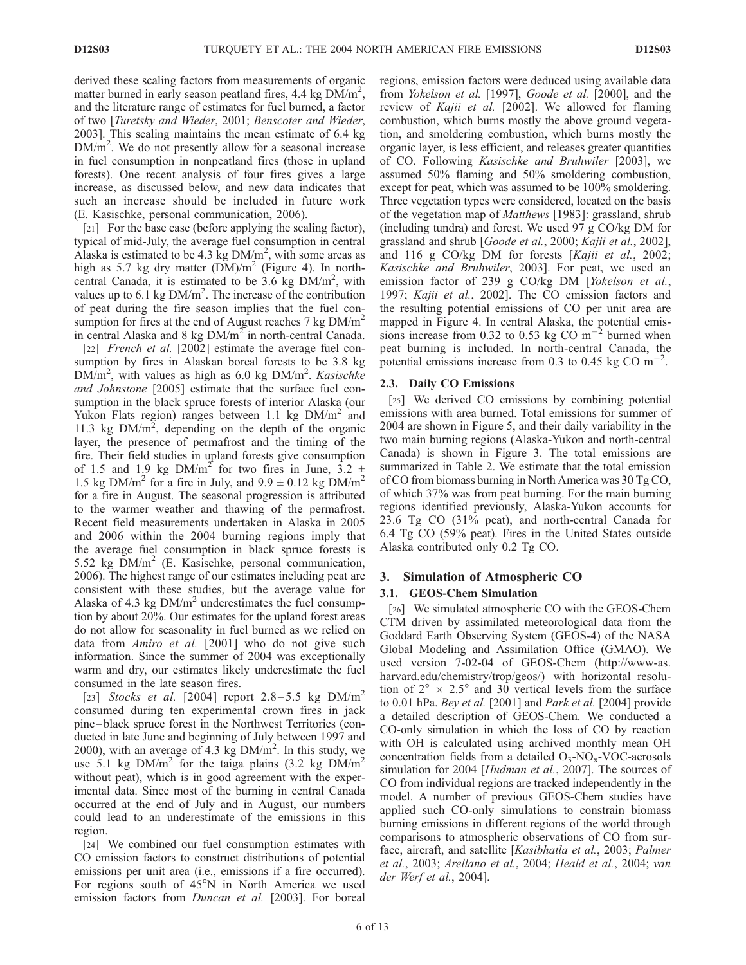derived these scaling factors from measurements of organic matter burned in early season peatland fires, 4.4 kg  $\overline{DM/m^2}$ , and the literature range of estimates for fuel burned, a factor of two [Turetsky and Wieder, 2001; Benscoter and Wieder, 2003]. This scaling maintains the mean estimate of 6.4 kg  $DM/m<sup>2</sup>$ . We do not presently allow for a seasonal increase in fuel consumption in nonpeatland fires (those in upland forests). One recent analysis of four fires gives a large increase, as discussed below, and new data indicates that such an increase should be included in future work (E. Kasischke, personal communication, 2006).

[21] For the base case (before applying the scaling factor), typical of mid-July, the average fuel consumption in central Alaska is estimated to be 4.3  $\text{kg}$  DM/m<sup>2</sup>, with some areas as high as 5.7 kg dry matter  $(DM)/m^2$  (Figure 4). In northcentral Canada, it is estimated to be  $3.6$  kg  $DM/m<sup>2</sup>$ , with values up to 6.1 kg  $DM/m^2$ . The increase of the contribution of peat during the fire season implies that the fuel consumption for fires at the end of August reaches  $7 \text{ kg}$  DM/m<sup>2</sup> in central Alaska and 8 kg  $DM/m<sup>2</sup>$  in north-central Canada.

[22] *French et al.* [2002] estimate the average fuel consumption by fires in Alaskan boreal forests to be 3.8 kg  $DM/m<sup>2</sup>$ , with values as high as 6.0 kg  $DM/m<sup>2</sup>$ . Kasischke and Johnstone [2005] estimate that the surface fuel consumption in the black spruce forests of interior Alaska (our Yukon Flats region) ranges between 1.1 kg  $DM/m<sup>2</sup>$  and 11.3 kg  $DM/m^2$ , depending on the depth of the organic layer, the presence of permafrost and the timing of the fire. Their field studies in upland forests give consumption of 1.5 and 1.9 kg DM/m<sup>2</sup> for two fires in June, 3.2  $\pm$ 1.5 kg DM/m<sup>2</sup> for a fire in July, and  $9.9 \pm 0.12$  kg DM/m<sup>2</sup> for a fire in August. The seasonal progression is attributed to the warmer weather and thawing of the permafrost. Recent field measurements undertaken in Alaska in 2005 and 2006 within the 2004 burning regions imply that the average fuel consumption in black spruce forests is 5.52 kg  $DM/m<sup>2</sup>$  (E. Kasischke, personal communication, 2006). The highest range of our estimates including peat are consistent with these studies, but the average value for Alaska of 4.3 kg  $DM/m<sup>2</sup>$  underestimates the fuel consumption by about 20%. Our estimates for the upland forest areas do not allow for seasonality in fuel burned as we relied on data from Amiro et al. [2001] who do not give such information. Since the summer of 2004 was exceptionally warm and dry, our estimates likely underestimate the fuel consumed in the late season fires.

[23] Stocks et al. [2004] report  $2.8-5.5$  kg DM/m<sup>2</sup> consumed during ten experimental crown fires in jack pine – black spruce forest in the Northwest Territories (conducted in late June and beginning of July between 1997 and 2000), with an average of 4.3 kg  $DM/m^2$ . In this study, we use 5.1 kg  $DM/m^2$  for the taiga plains (3.2 kg  $DM/m^2$ without peat), which is in good agreement with the experimental data. Since most of the burning in central Canada occurred at the end of July and in August, our numbers could lead to an underestimate of the emissions in this region.

[24] We combined our fuel consumption estimates with CO emission factors to construct distributions of potential emissions per unit area (i.e., emissions if a fire occurred). For regions south of  $45^{\circ}$ N in North America we used emission factors from *Duncan et al.* [2003]. For boreal regions, emission factors were deduced using available data from Yokelson et al. [1997], Goode et al. [2000], and the review of Kajii et al. [2002]. We allowed for flaming combustion, which burns mostly the above ground vegetation, and smoldering combustion, which burns mostly the organic layer, is less efficient, and releases greater quantities of CO. Following Kasischke and Bruhwiler [2003], we assumed 50% flaming and 50% smoldering combustion, except for peat, which was assumed to be 100% smoldering. Three vegetation types were considered, located on the basis of the vegetation map of Matthews [1983]: grassland, shrub (including tundra) and forest. We used 97 g CO/kg DM for grassland and shrub [Goode et al., 2000; Kajii et al., 2002], and 116 g CO/kg DM for forests [Kajii et al., 2002; Kasischke and Bruhwiler, 2003]. For peat, we used an emission factor of 239 g CO/kg DM [Yokelson et al., 1997; Kajii et al., 2002]. The CO emission factors and the resulting potential emissions of CO per unit area are mapped in Figure 4. In central Alaska, the potential emissions increase from 0.32 to 0.53 kg CO  $\text{m}^{-2}$  burned when peat burning is included. In north-central Canada, the potential emissions increase from 0.3 to 0.45 kg CO  $\text{m}^{-2}$ .

## 2.3. Daily CO Emissions

[25] We derived CO emissions by combining potential emissions with area burned. Total emissions for summer of 2004 are shown in Figure 5, and their daily variability in the two main burning regions (Alaska-Yukon and north-central Canada) is shown in Figure 3. The total emissions are summarized in Table 2. We estimate that the total emission of CO from biomass burning in North America was 30 Tg CO, of which 37% was from peat burning. For the main burning regions identified previously, Alaska-Yukon accounts for 23.6 Tg CO (31% peat), and north-central Canada for 6.4 Tg CO (59% peat). Fires in the United States outside Alaska contributed only 0.2 Tg CO.

#### 3. Simulation of Atmospheric CO

#### 3.1. GEOS-Chem Simulation

[26] We simulated atmospheric CO with the GEOS-Chem CTM driven by assimilated meteorological data from the Goddard Earth Observing System (GEOS-4) of the NASA Global Modeling and Assimilation Office (GMAO). We used version 7-02-04 of GEOS-Chem (http://www-as. harvard.edu/chemistry/trop/geos/) with horizontal resolution of  $2^{\circ} \times 2.5^{\circ}$  and 30 vertical levels from the surface to 0.01 hPa. Bey et al. [2001] and Park et al. [2004] provide a detailed description of GEOS-Chem. We conducted a CO-only simulation in which the loss of CO by reaction with OH is calculated using archived monthly mean OH concentration fields from a detailed  $O_3$ -NO<sub>x</sub>-VOC-aerosols simulation for 2004 [Hudman et al., 2007]. The sources of CO from individual regions are tracked independently in the model. A number of previous GEOS-Chem studies have applied such CO-only simulations to constrain biomass burning emissions in different regions of the world through comparisons to atmospheric observations of CO from surface, aircraft, and satellite [Kasibhatla et al., 2003; Palmer et al., 2003; Arellano et al., 2004; Heald et al., 2004; van der Werf et al., 2004].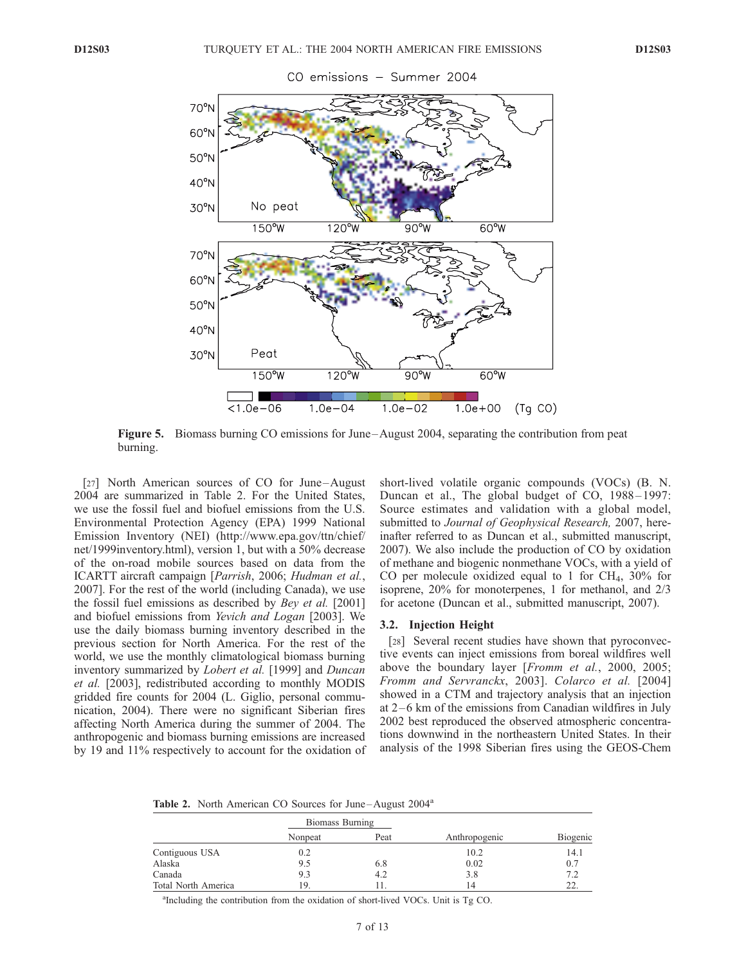

#### CO emissions – Summer 2004

Figure 5. Biomass burning CO emissions for June –August 2004, separating the contribution from peat burning.

[27] North American sources of CO for June–August 2004 are summarized in Table 2. For the United States, we use the fossil fuel and biofuel emissions from the U.S. Environmental Protection Agency (EPA) 1999 National Emission Inventory (NEI) (http://www.epa.gov/ttn/chief/ net/1999inventory.html), version 1, but with a 50% decrease of the on-road mobile sources based on data from the ICARTT aircraft campaign [Parrish, 2006; Hudman et al., 2007]. For the rest of the world (including Canada), we use the fossil fuel emissions as described by *Bey et al.* [2001] and biofuel emissions from Yevich and Logan [2003]. We use the daily biomass burning inventory described in the previous section for North America. For the rest of the world, we use the monthly climatological biomass burning inventory summarized by Lobert et al. [1999] and Duncan et al. [2003], redistributed according to monthly MODIS gridded fire counts for 2004 (L. Giglio, personal communication, 2004). There were no significant Siberian fires affecting North America during the summer of 2004. The anthropogenic and biomass burning emissions are increased by 19 and 11% respectively to account for the oxidation of short-lived volatile organic compounds (VOCs) (B. N. Duncan et al., The global budget of CO, 1988-1997: Source estimates and validation with a global model, submitted to Journal of Geophysical Research, 2007, hereinafter referred to as Duncan et al., submitted manuscript, 2007). We also include the production of CO by oxidation of methane and biogenic nonmethane VOCs, with a yield of CO per molecule oxidized equal to 1 for  $CH<sub>4</sub>$ , 30% for isoprene, 20% for monoterpenes, 1 for methanol, and 2/3 for acetone (Duncan et al., submitted manuscript, 2007).

## 3.2. Injection Height

[28] Several recent studies have shown that pyroconvective events can inject emissions from boreal wildfires well above the boundary layer [Fromm et al., 2000, 2005; Fromm and Servranckx, 2003]. Colarco et al. [2004] showed in a CTM and trajectory analysis that an injection at  $2-6$  km of the emissions from Canadian wildfires in July 2002 best reproduced the observed atmospheric concentrations downwind in the northeastern United States. In their analysis of the 1998 Siberian fires using the GEOS-Chem

Table 2. North American CO Sources for June-August 2004<sup>a</sup>

|                     | Biomass Burning |      |               |          |
|---------------------|-----------------|------|---------------|----------|
|                     | Nonpeat         | Peat | Anthropogenic | Biogenic |
| Contiguous USA      | 0.2             |      | 10.2          | 14.1     |
| Alaska              | 9.5             | 6.8  | 0.02          | 0.7      |
| Canada              | 9.3             | 4.2  | 3.8           | 7.2      |
| Total North America | 19.             |      | 14            | 22.      |

a Including the contribution from the oxidation of short-lived VOCs. Unit is Tg CO.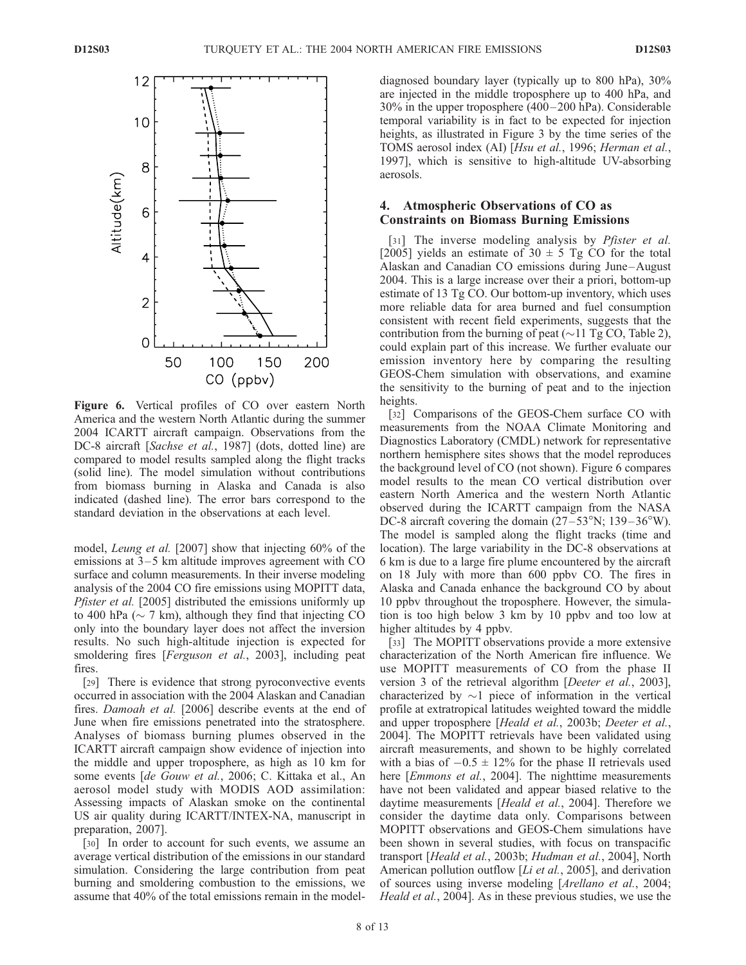

Figure 6. Vertical profiles of CO over eastern North America and the western North Atlantic during the summer 2004 ICARTT aircraft campaign. Observations from the DC-8 aircraft [Sachse et al., 1987] (dots, dotted line) are compared to model results sampled along the flight tracks (solid line). The model simulation without contributions from biomass burning in Alaska and Canada is also indicated (dashed line). The error bars correspond to the standard deviation in the observations at each level.

model, Leung et al. [2007] show that injecting 60% of the emissions at  $3-5$  km altitude improves agreement with CO surface and column measurements. In their inverse modeling analysis of the 2004 CO fire emissions using MOPITT data, Pfister et al. [2005] distributed the emissions uniformly up to 400 hPa ( $\sim$  7 km), although they find that injecting CO only into the boundary layer does not affect the inversion results. No such high-altitude injection is expected for smoldering fires [Ferguson et al., 2003], including peat fires.

[29] There is evidence that strong pyroconvective events occurred in association with the 2004 Alaskan and Canadian fires. Damoah et al. [2006] describe events at the end of June when fire emissions penetrated into the stratosphere. Analyses of biomass burning plumes observed in the ICARTT aircraft campaign show evidence of injection into the middle and upper troposphere, as high as 10 km for some events [de Gouw et al., 2006; C. Kittaka et al., An aerosol model study with MODIS AOD assimilation: Assessing impacts of Alaskan smoke on the continental US air quality during ICARTT/INTEX-NA, manuscript in preparation, 2007].

[30] In order to account for such events, we assume an average vertical distribution of the emissions in our standard simulation. Considering the large contribution from peat burning and smoldering combustion to the emissions, we assume that 40% of the total emissions remain in the model-

diagnosed boundary layer (typically up to 800 hPa), 30% are injected in the middle troposphere up to 400 hPa, and 30% in the upper troposphere (400 –200 hPa). Considerable temporal variability is in fact to be expected for injection heights, as illustrated in Figure 3 by the time series of the TOMS aerosol index (AI) [Hsu et al., 1996; Herman et al., 1997], which is sensitive to high-altitude UV-absorbing aerosols.

# 4. Atmospheric Observations of CO as Constraints on Biomass Burning Emissions

[31] The inverse modeling analysis by *Pfister et al.* [2005] yields an estimate of  $30 \pm 5$  Tg CO for the total Alaskan and Canadian CO emissions during June –August 2004. This is a large increase over their a priori, bottom-up estimate of 13 Tg CO. Our bottom-up inventory, which uses more reliable data for area burned and fuel consumption consistent with recent field experiments, suggests that the contribution from the burning of peat  $(\sim 11$  Tg CO, Table 2), could explain part of this increase. We further evaluate our emission inventory here by comparing the resulting GEOS-Chem simulation with observations, and examine the sensitivity to the burning of peat and to the injection heights.

[32] Comparisons of the GEOS-Chem surface CO with measurements from the NOAA Climate Monitoring and Diagnostics Laboratory (CMDL) network for representative northern hemisphere sites shows that the model reproduces the background level of CO (not shown). Figure 6 compares model results to the mean CO vertical distribution over eastern North America and the western North Atlantic observed during the ICARTT campaign from the NASA DC-8 aircraft covering the domain  $(27-53°N; 139-36°W)$ . The model is sampled along the flight tracks (time and location). The large variability in the DC-8 observations at 6 km is due to a large fire plume encountered by the aircraft on 18 July with more than 600 ppbv CO. The fires in Alaska and Canada enhance the background CO by about 10 ppbv throughout the troposphere. However, the simulation is too high below 3 km by 10 ppbv and too low at higher altitudes by 4 ppbv.

[33] The MOPITT observations provide a more extensive characterization of the North American fire influence. We use MOPITT measurements of CO from the phase II version 3 of the retrieval algorithm [Deeter et al., 2003], characterized by  $\sim$ 1 piece of information in the vertical profile at extratropical latitudes weighted toward the middle and upper troposphere [Heald et al., 2003b; Deeter et al., 2004]. The MOPITT retrievals have been validated using aircraft measurements, and shown to be highly correlated with a bias of  $-0.5 \pm 12\%$  for the phase II retrievals used here [Emmons et al., 2004]. The nighttime measurements have not been validated and appear biased relative to the daytime measurements [Heald et al., 2004]. Therefore we consider the daytime data only. Comparisons between MOPITT observations and GEOS-Chem simulations have been shown in several studies, with focus on transpacific transport [Heald et al., 2003b; Hudman et al., 2004], North American pollution outflow [*Li et al.*, 2005], and derivation of sources using inverse modeling [Arellano et al., 2004; Heald et al., 2004]. As in these previous studies, we use the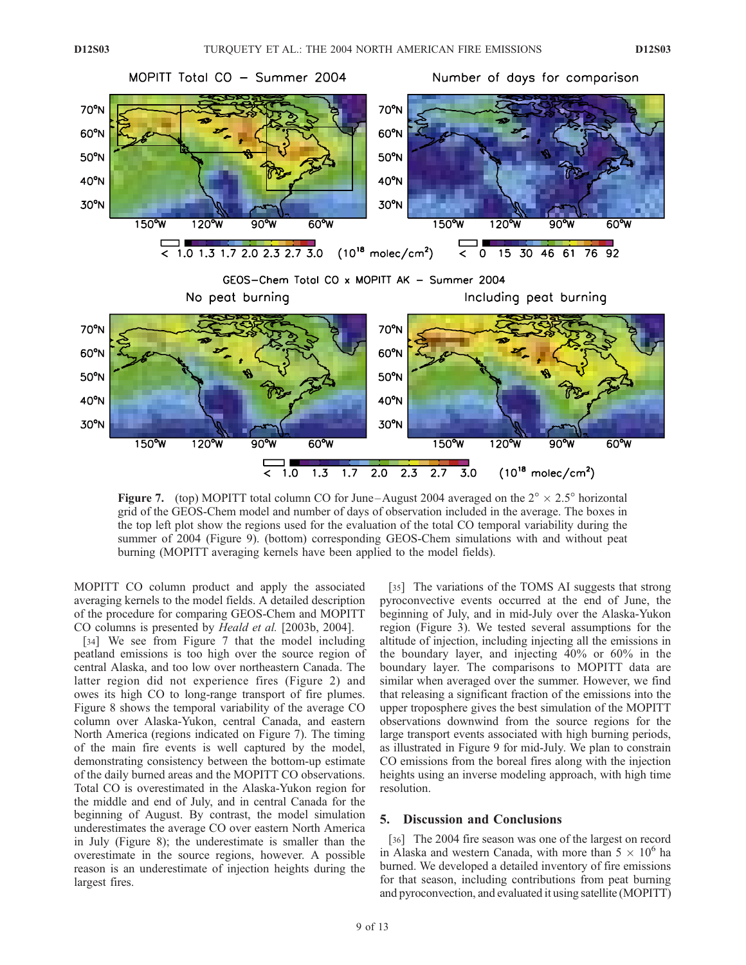

**Figure 7.** (top) MOPITT total column CO for June–August 2004 averaged on the  $2^{\circ} \times 2.5^{\circ}$  horizontal grid of the GEOS-Chem model and number of days of observation included in the average. The boxes in the top left plot show the regions used for the evaluation of the total CO temporal variability during the summer of 2004 (Figure 9). (bottom) corresponding GEOS-Chem simulations with and without peat burning (MOPITT averaging kernels have been applied to the model fields).

MOPITT CO column product and apply the associated averaging kernels to the model fields. A detailed description of the procedure for comparing GEOS-Chem and MOPITT CO columns is presented by Heald et al. [2003b, 2004].

[34] We see from Figure 7 that the model including peatland emissions is too high over the source region of central Alaska, and too low over northeastern Canada. The latter region did not experience fires (Figure 2) and owes its high CO to long-range transport of fire plumes. Figure 8 shows the temporal variability of the average CO column over Alaska-Yukon, central Canada, and eastern North America (regions indicated on Figure 7). The timing of the main fire events is well captured by the model, demonstrating consistency between the bottom-up estimate of the daily burned areas and the MOPITT CO observations. Total CO is overestimated in the Alaska-Yukon region for the middle and end of July, and in central Canada for the beginning of August. By contrast, the model simulation underestimates the average CO over eastern North America in July (Figure 8); the underestimate is smaller than the overestimate in the source regions, however. A possible reason is an underestimate of injection heights during the largest fires.

[35] The variations of the TOMS AI suggests that strong pyroconvective events occurred at the end of June, the beginning of July, and in mid-July over the Alaska-Yukon region (Figure 3). We tested several assumptions for the altitude of injection, including injecting all the emissions in the boundary layer, and injecting 40% or 60% in the boundary layer. The comparisons to MOPITT data are similar when averaged over the summer. However, we find that releasing a significant fraction of the emissions into the upper troposphere gives the best simulation of the MOPITT observations downwind from the source regions for the large transport events associated with high burning periods, as illustrated in Figure 9 for mid-July. We plan to constrain CO emissions from the boreal fires along with the injection heights using an inverse modeling approach, with high time resolution.

# 5. Discussion and Conclusions

[36] The 2004 fire season was one of the largest on record in Alaska and western Canada, with more than  $5 \times 10^6$  ha burned. We developed a detailed inventory of fire emissions for that season, including contributions from peat burning and pyroconvection, and evaluated it using satellite (MOPITT)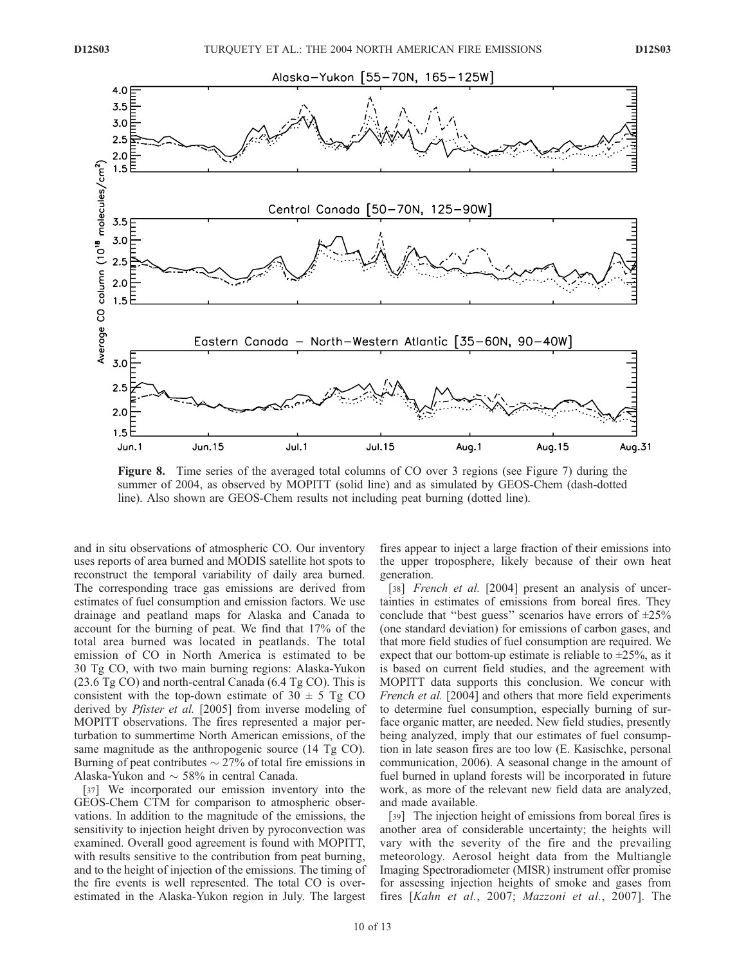

Figure 8. Time series of the averaged total columns of CO over 3 regions (see Figure 7) during the summer of 2004, as observed by MOPITT (solid line) and as simulated by GEOS-Chem (dash-dotted line). Also shown are GEOS-Chem results not including peat burning (dotted line).

and in situ observations of atmospheric CO. Our inventory uses reports of area burned and MODIS satellite hot spots to reconstruct the temporal variability of daily area burned. The corresponding trace gas emissions are derived from estimates of fuel consumption and emission factors. We use drainage and peatland maps for Alaska and Canada to account for the burning of peat. We find that 17% of the total area burned was located in peatlands. The total emission of CO in North America is estimated to be 30 Tg CO, with two main burning regions: Alaska-Yukon  $(23.6 \text{ Tg CO})$  and north-central Canada  $(6.4 \text{ Tg CO})$ . This is consistent with the top-down estimate of  $30 \pm 5$  Tg CO derived by *Pfister et al.* [2005] from inverse modeling of MOPITT observations. The fires represented a major perturbation to summertime North American emissions, of the same magnitude as the anthropogenic source (14 Tg CO). Burning of peat contributes  $\sim$  27% of total fire emissions in Alaska-Yukon and  $\sim$  58% in central Canada.

[37] We incorporated our emission inventory into the GEOS-Chem CTM for comparison to atmospheric observations. In addition to the magnitude of the emissions, the sensitivity to injection height driven by pyroconvection was examined. Overall good agreement is found with MOPITT, with results sensitive to the contribution from peat burning, and to the height of injection of the emissions. The timing of the fire events is well represented. The total CO is overestimated in the Alaska-Yukon region in July. The largest

fires appear to inject a large fraction of their emissions into the upper troposphere, likely because of their own heat generation.

[38] *French et al.* [2004] present an analysis of uncertainties in estimates of emissions from boreal fires. They conclude that "best guess" scenarios have errors of  $\pm 25\%$ (one standard deviation) for emissions of carbon gases, and that more field studies of fuel consumption are required. We expect that our bottom-up estimate is reliable to  $\pm 25\%$ , as it is based on current field studies, and the agreement with MOPITT data supports this conclusion. We concur with French et al. [2004] and others that more field experiments to determine fuel consumption, especially burning of surface organic matter, are needed. New field studies, presently being analyzed, imply that our estimates of fuel consumption in late season fires are too low (E. Kasischke, personal communication, 2006). A seasonal change in the amount of fuel burned in upland forests will be incorporated in future work, as more of the relevant new field data are analyzed, and made available.

[39] The injection height of emissions from boreal fires is another area of considerable uncertainty; the heights will vary with the severity of the fire and the prevailing meteorology. Aerosol height data from the Multiangle Imaging Spectroradiometer (MISR) instrument offer promise for assessing injection heights of smoke and gases from fires [Kahn et al., 2007; Mazzoni et al., 2007]. The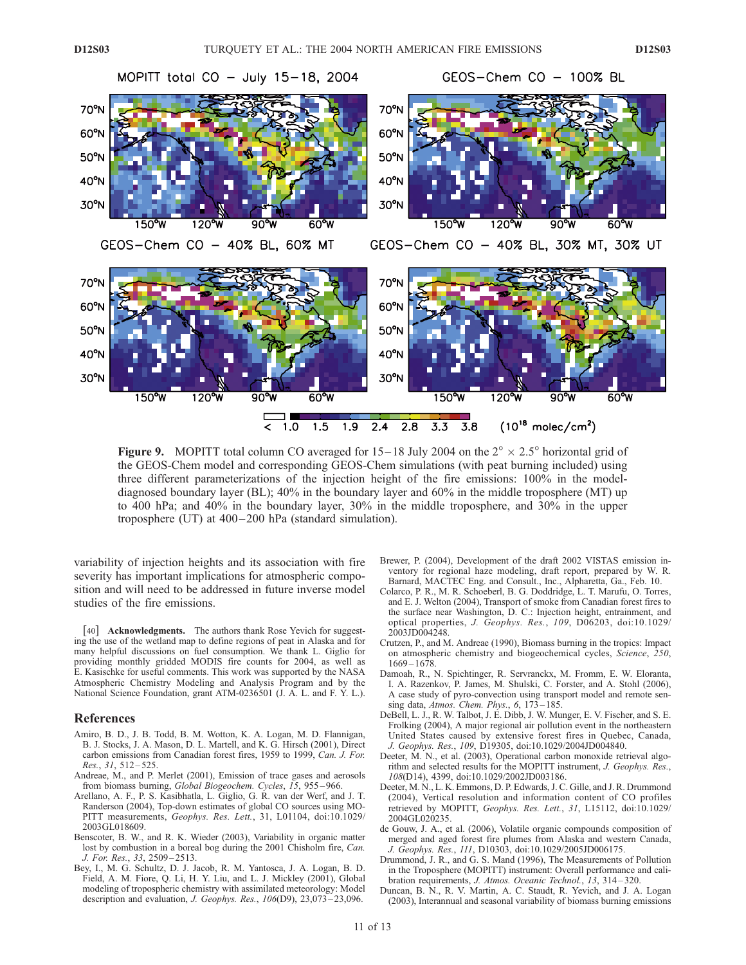

**Figure 9.** MOPITT total column CO averaged for  $15-18$  July 2004 on the  $2^\circ \times 2.5^\circ$  horizontal grid of the GEOS-Chem model and corresponding GEOS-Chem simulations (with peat burning included) using three different parameterizations of the injection height of the fire emissions: 100% in the modeldiagnosed boundary layer (BL); 40% in the boundary layer and 60% in the middle troposphere (MT) up to 400 hPa; and 40% in the boundary layer, 30% in the middle troposphere, and 30% in the upper troposphere (UT) at 400– 200 hPa (standard simulation).

variability of injection heights and its association with fire severity has important implications for atmospheric composition and will need to be addressed in future inverse model studies of the fire emissions.

[40] **Acknowledgments.** The authors thank Rose Yevich for suggesting the use of the wetland map to define regions of peat in Alaska and for many helpful discussions on fuel consumption. We thank L. Giglio for providing monthly gridded MODIS fire counts for 2004, as well as E. Kasischke for useful comments. This work was supported by the NASA Atmospheric Chemistry Modeling and Analysis Program and by the National Science Foundation, grant ATM-0236501 (J. A. L. and F. Y. L.).

#### References

- Amiro, B. D., J. B. Todd, B. M. Wotton, K. A. Logan, M. D. Flannigan, B. J. Stocks, J. A. Mason, D. L. Martell, and K. G. Hirsch (2001), Direct carbon emissions from Canadian forest fires, 1959 to 1999, Can. J. For. Res., 31, 512 – 525.
- Andreae, M., and P. Merlet (2001), Emission of trace gases and aerosols from biomass burning, Global Biogeochem. Cycles, 15, 955 – 966.
- Arellano, A. F., P. S. Kasibhatla, L. Giglio, G. R. van der Werf, and J. T. Randerson (2004), Top-down estimates of global CO sources using MO-PITT measurements, Geophys. Res. Lett., 31, L01104, doi:10.1029/ 2003GL018609.
- Benscoter, B. W., and R. K. Wieder (2003), Variability in organic matter lost by combustion in a boreal bog during the 2001 Chisholm fire, Can. J. For. Res., 33, 2509 – 2513.
- Bey, I., M. G. Schultz, D. J. Jacob, R. M. Yantosca, J. A. Logan, B. D. Field, A. M. Fiore, Q. Li, H. Y. Liu, and L. J. Mickley (2001), Global modeling of tropospheric chemistry with assimilated meteorology: Model description and evaluation, J. Geophys. Res., 106(D9), 23,073-23,096.
- Brewer, P. (2004), Development of the draft 2002 VISTAS emission inventory for regional haze modeling, draft report, prepared by W. R. Barnard, MACTEC Eng. and Consult., Inc., Alpharetta, Ga., Feb. 10.
- Colarco, P. R., M. R. Schoeberl, B. G. Doddridge, L. T. Marufu, O. Torres, and E. J. Welton (2004), Transport of smoke from Canadian forest fires to the surface near Washington, D. C.: Injection height, entrainment, and optical properties, J. Geophys. Res., 109, D06203, doi:10.1029/ 2003JD004248.
- Crutzen, P., and M. Andreae (1990), Biomass burning in the tropics: Impact on atmospheric chemistry and biogeochemical cycles, Science, 250,  $1669 - 1678$ .
- Damoah, R., N. Spichtinger, R. Servranckx, M. Fromm, E. W. Eloranta, I. A. Razenkov, P. James, M. Shulski, C. Forster, and A. Stohl (2006), A case study of pyro-convection using transport model and remote sensing data, Atmos. Chem. Phys.,  $6$ ,  $173-185$ .
- DeBell, L. J., R. W. Talbot, J. E. Dibb, J. W. Munger, E. V. Fischer, and S. E. Frolking (2004), A major regional air pollution event in the northeastern United States caused by extensive forest fires in Quebec, Canada, J. Geophys. Res., 109, D19305, doi:10.1029/2004JD004840.
- Deeter, M. N., et al. (2003), Operational carbon monoxide retrieval algorithm and selected results for the MOPITT instrument, J. Geophys. Res., 108(D14), 4399, doi:10.1029/2002JD003186.
- Deeter, M. N., L. K. Emmons, D. P. Edwards, J. C. Gille, and J. R. Drummond (2004), Vertical resolution and information content of CO profiles retrieved by MOPITT, Geophys. Res. Lett., 31, L15112, doi:10.1029/ 2004GL020235.
- de Gouw, J. A., et al. (2006), Volatile organic compounds composition of merged and aged forest fire plumes from Alaska and western Canada, J. Geophys. Res., 111, D10303, doi:10.1029/2005JD006175.
- Drummond, J. R., and G. S. Mand (1996), The Measurements of Pollution in the Troposphere (MOPITT) instrument: Overall performance and calibration requirements, J. Atmos. Oceanic Technol., 13, 314 – 320.
- Duncan, B. N., R. V. Martin, A. C. Staudt, R. Yevich, and J. A. Logan (2003), Interannual and seasonal variability of biomass burning emissions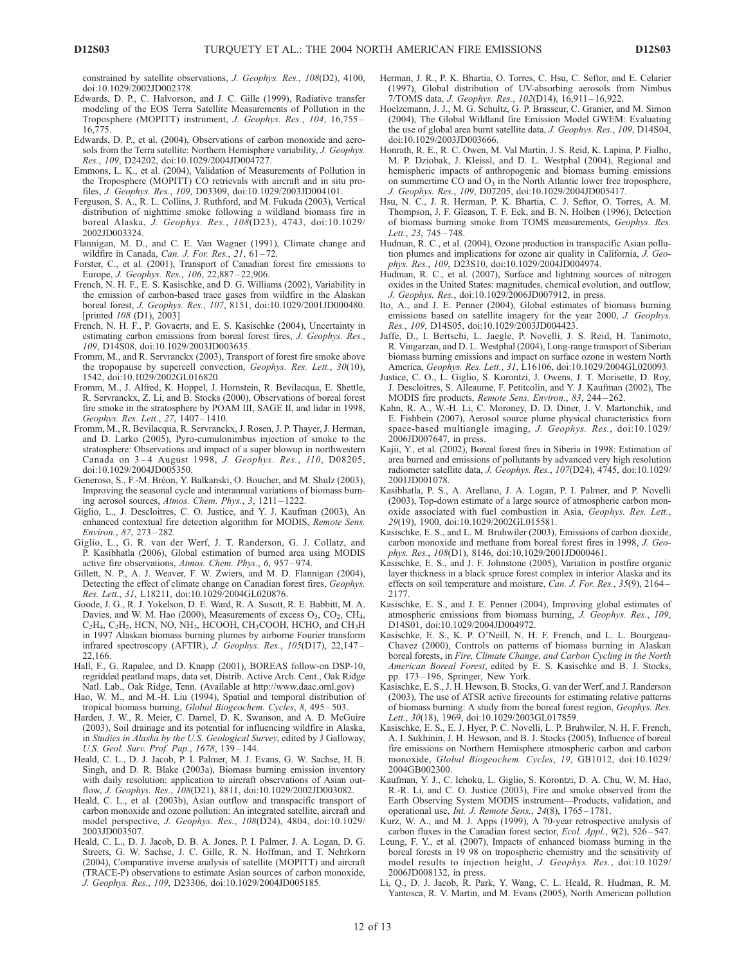constrained by satellite observations, J. Geophys. Res., 108(D2), 4100, doi:10.1029/2002JD002378.

- Edwards, D. P., C. Halvorson, and J. C. Gille (1999), Radiative transfer modeling of the EOS Terra Satellite Measurements of Pollution in the Troposphere (MOPITT) instrument, J. Geophys. Res., 104, 16,755 – 16,775.
- Edwards, D. P., et al. (2004), Observations of carbon monoxide and aerosols from the Terra satellite: Northern Hemisphere variability, J. Geophys. Res., 109, D24202, doi:10.1029/2004JD004727.
- Emmons, L. K., et al. (2004), Validation of Measurements of Pollution in the Troposphere (MOPITT) CO retrievals with aircraft and in situ profiles, J. Geophys. Res., 109, D03309, doi:10.1029/2003JD004101.
- Ferguson, S. A., R. L. Collins, J. Ruthford, and M. Fukuda (2003), Vertical distribution of nighttime smoke following a wildland biomass fire in boreal Alaska, J. Geophys. Res., 108(D23), 4743, doi:10.1029/ 2002JD003324.
- Flannigan, M. D., and C. E. Van Wagner (1991), Climate change and wildfire in Canada, Can. J. For. Res.,  $21$ ,  $61-72$ .
- Forster, C., et al. (2001), Transport of Canadian forest fire emissions to Europe, J. Geophys. Res., 106, 22,887 – 22,906.
- French, N. H. F., E. S. Kasischke, and D. G. Williams (2002), Variability in the emission of carbon-based trace gases from wildfire in the Alaskan boreal forest, J. Geophys. Res., 107, 8151, doi:10.1029/2001JD000480. [printed  $108$  (D1),  $2003$ ]
- French, N. H. F., P. Govaerts, and E. S. Kasischke (2004), Uncertainty in estimating carbon emissions from boreal forest fires, J. Geophys. Res., 109, D14S08, doi:10.1029/2003JD003635.
- Fromm, M., and R. Servranckx (2003), Transport of forest fire smoke above the tropopause by supercell convection, Geophys. Res. Lett., 30(10), 1542, doi:10.1029/2002GL016820.
- Fromm, M., J. Alfred, K. Hoppel, J. Hornstein, R. Bevilacqua, E. Shettle, R. Servranckx, Z. Li, and B. Stocks (2000), Observations of boreal forest fire smoke in the stratosphere by POAM III, SAGE II, and lidar in 1998, Geophys. Res. Lett., 27, 1407 – 1410.
- Fromm, M., R. Bevilacqua, R. Servranckx, J. Rosen, J. P. Thayer, J. Herman, and D. Larko (2005), Pyro-cumulonimbus injection of smoke to the stratosphere: Observations and impact of a super blowup in northwestern Canada on 3-4 August 1998, J. Geophys. Res., 110, D08205, doi:10.1029/2004JD005350.
- Generoso, S., F.-M. Bréon, Y. Balkanski, O. Boucher, and M. Shulz (2003), Improving the seasonal cycle and interannual variations of biomass burning aerosol sources, Atmos. Chem. Phys., 3, 1211 – 1222.
- Giglio, L., J. Descloitres, C. O. Justice, and Y. J. Kaufman (2003), An enhanced contextual fire detection algorithm for MODIS, Remote Sens. Environ., 87, 273 – 282.
- Giglio, L., G. R. van der Werf, J. T. Randerson, G. J. Collatz, and P. Kasibhatla (2006), Global estimation of burned area using MODIS active fire observations, Atmos. Chem. Phys., 6, 957 – 974.
- Gillett, N. P., A. J. Weaver, F. W. Zwiers, and M. D. Flannigan (2004), Detecting the effect of climate change on Canadian forest fires, Geophys. Res. Lett., 31, L18211, doi:10.1029/2004GL020876.
- Goode, J. G., R. J. Yokelson, D. E. Ward, R. A. Susott, R. E. Babbitt, M. A. Davies, and W. M. Hao (2000), Measurements of excess  $O_3$ ,  $CO_2$ ,  $CH_4$ , C<sub>2</sub>H<sub>4</sub>, C<sub>2</sub>H<sub>2</sub>, HCN, NO, NH<sub>3</sub>, HCOOH, CH<sub>3</sub>COOH, HCHO, and CH<sub>3</sub>H in 1997 Alaskan biomass burning plumes by airborne Fourier transform infrared spectroscopy (AFTIR), J. Geophys. Res., 105(D17), 22,147 – 22,166.
- Hall, F., G. Rapalee, and D. Knapp (2001), BOREAS follow-on DSP-10, regridded peatland maps, data set, Distrib. Active Arch. Cent., Oak Ridge Natl. Lab., Oak Ridge, Tenn. (Available at http://www.daac.ornl.gov)
- Hao, W. M., and M.-H. Liu (1994), Spatial and temporal distribution of tropical biomass burning, Global Biogeochem. Cycles, 8, 495-503.
- Harden, J. W., R. Meier, C. Darnel, D. K. Swanson, and A. D. McGuire (2003), Soil drainage and its potential for influencing wildfire in Alaska, in Studies in Alaska by the U.S. Geological Survey, edited by J Galloway, U.S. Geol. Surv. Prof. Pap., 1678, 139-144.
- Heald, C. L., D. J. Jacob, P. I. Palmer, M. J. Evans, G. W. Sachse, H. B. Singh, and D. R. Blake (2003a), Biomass burning emission inventory with daily resolution: application to aircraft observations of Asian outflow, J. Geophys. Res., 108(D21), 8811, doi:10.1029/2002JD003082.
- Heald, C. L., et al. (2003b), Asian outflow and transpacific transport of carbon monoxide and ozone pollution: An integrated satellite, aircraft and model perspective, J. Geophys. Res., 108(D24), 4804, doi:10.1029/ 2003JD003507.
- Heald, C. L., D. J. Jacob, D. B. A. Jones, P. I. Palmer, J. A. Logan, D. G. Streets, G. W. Sachse, J. C. Gille, R. N. Hoffman, and T. Nehrkorn (2004), Comparative inverse analysis of satellite (MOPITT) and aircraft (TRACE-P) observations to estimate Asian sources of carbon monoxide, J. Geophys. Res., 109, D23306, doi:10.1029/2004JD005185.
- Herman, J. R., P. K. Bhartia, O. Torres, C. Hsu, C. Seftor, and E. Celarier (1997), Global distribution of UV-absorbing aerosols from Nimbus 7/TOMS data, J. Geophys. Res., 102(D14), 16,911 – 16,922.
- Hoelzemann, J. J., M. G. Schultz, G. P. Brasseur, C. Granier, and M. Simon (2004), The Global Wildland fire Emission Model GWEM: Evaluating the use of global area burnt satellite data, J. Geophys. Res., 109, D14S04, doi:10.1029/2003JD003666.
- Honrath, R. E., R. C. Owen, M. Val Martin, J. S. Reid, K. Lapina, P. Fialho, M. P. Dziobak, J. Kleissl, and D. L. Westphal (2004), Regional and hemispheric impacts of anthropogenic and biomass burning emissions on summertime CO and O<sub>3</sub> in the North Atlantic lower free troposphere, J. Geophys. Res., 109, D07205, doi:10.1029/2004JD005417.
- Hsu, N. C., J. R. Herman, P. K. Bhartia, C. J. Seftor, O. Torres, A. M. Thompson, J. F. Gleason, T. F. Eck, and B. N. Holben (1996), Detection of biomass burning smoke from TOMS measurements, Geophys. Res. Lett., 23, 745-748.
- Hudman, R. C., et al. (2004), Ozone production in transpacific Asian pollution plumes and implications for ozone air quality in California, J. Geophys. Res., 109, D23S10, doi:10.1029/2004JD004974.
- Hudman, R. C., et al. (2007), Surface and lightning sources of nitrogen oxides in the United States: magnitudes, chemical evolution, and outflow, J. Geophys. Res., doi:10.1029/2006JD007912, in press.
- Ito, A., and J. E. Penner (2004), Global estimates of biomass burning emissions based on satellite imagery for the year 2000, J. Geophys. Res., 109, D14S05, doi:10.1029/2003JD004423.
- Jaffe, D., I. Bertschi, L. Jaegle, P. Novelli, J. S. Reid, H. Tanimoto, R. Vingarzan, and D. L. Westphal (2004), Long-range transport of Siberian biomass burning emissions and impact on surface ozone in western North America, Geophys. Res. Lett., 31, L16106, doi:10.1029/2004GL020093.
- Justice, C. O., L. Giglio, S. Korontzi, J. Owens, J. T. Morisette, D. Roy, J. Descloitres, S. Alleaume, F. Petitcolin, and Y. J. Kaufman (2002), The MODIS fire products, Remote Sens. Environ., 83, 244 – 262.
- Kahn, R. A., W.-H. Li, C. Moroney, D. D. Diner, J. V. Martonchik, and E. Fishbein (2007), Aerosol source plume physical characteristics from space-based multiangle imaging, J. Geophys. Res., doi:10.1029/ 2006JD007647, in press.
- Kajii, Y., et al. (2002), Boreal forest fires in Siberia in 1998: Estimation of area burned and emissions of pollutants by advanced very high resolution radiometer satellite data, J. Geophys. Res., 107(D24), 4745, doi:10.1029/ 2001ID001078
- Kasibhatla, P. S., A. Arellano, J. A. Logan, P. I. Palmer, and P. Novelli (2003), Top-down estimate of a large source of atmospheric carbon monoxide associated with fuel combustion in Asia, Geophys. Res. Lett., 29(19), 1900, doi:10.1029/2002GL015581.
- Kasischke, E. S., and L. M. Bruhwiler (2003), Emissions of carbon dioxide, carbon monoxide and methane from boreal forest fires in 1998, J. Geophys. Res., 108(D1), 8146, doi:10.1029/2001JD000461.
- Kasischke, E. S., and J. F. Johnstone (2005), Variation in postfire organic layer thickness in a black spruce forest complex in interior Alaska and its effects on soil temperature and moisture, *Can. J. For. Res.*, 35(9), 2164– 2177.
- Kasischke, E. S., and J. E. Penner (2004), Improving global estimates of atmospheric emissions from biomass burning, J. Geophys. Res., 109, D14S01, doi:10.1029/2004JD004972.
- Kasischke, E. S., K. P. O'Neill, N. H. F. French, and L. L. Bourgeau-Chavez (2000), Controls on patterns of biomass burning in Alaskan boreal forests, in Fire, Climate Change, and Carbon Cycling in the North American Boreal Forest, edited by E. S. Kasischke and B. J. Stocks, pp. 173 – 196, Springer, New York.
- Kasischke, E. S., J. H. Hewson, B. Stocks, G. van der Werf, and J. Randerson (2003), The use of ATSR active firecounts for estimating relative patterns of biomass burning: A study from the boreal forest region, Geophys. Res. Lett., 30(18), 1969, doi:10.1029/2003GL017859.
- Kasischke, E. S., E. J. Hyer, P. C. Novelli, L. P. Bruhwiler, N. H. F. French, A. I. Sukhinin, J. H. Hewson, and B. J. Stocks (2005), Influence of boreal fire emissions on Northern Hemisphere atmospheric carbon and carbon monoxide, Global Biogeochem. Cycles, 19, GB1012, doi:10.1029/ 2004GB002300.
- Kaufman, Y. J., C. Ichoku, L. Giglio, S. Korontzi, D. A. Chu, W. M. Hao, R.-R. Li, and C. O. Justice (2003), Fire and smoke observed from the Earth Observing System MODIS instrument—Products, validation, and operational use, Int. J. Remote Sens., 24(8), 1765 – 1781.
- Kurz, W. A., and M. J. Apps (1999), A 70-year retrospective analysis of carbon fluxes in the Canadian forest sector, Ecol. Appl., 9(2), 526-547.
- Leung, F. Y., et al. (2007), Impacts of enhanced biomass burning in the boreal forests in 19 98 on tropospheric chemistry and the sensitivity of model results to injection height, J. Geophys. Res., doi:10.1029/ 2006JD008132, in press.
- Li, Q., D. J. Jacob, R. Park, Y. Wang, C. L. Heald, R. Hudman, R. M. Yantosca, R. V. Martin, and M. Evans (2005), North American pollution